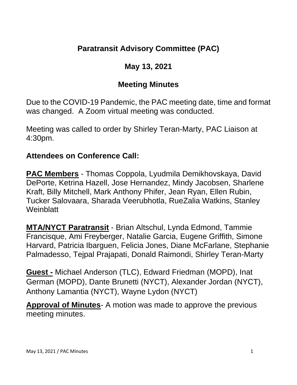## **Paratransit Advisory Committee (PAC)**

# **May 13, 2021**

# **Meeting Minutes**

Due to the COVID-19 Pandemic, the PAC meeting date, time and format was changed. A Zoom virtual meeting was conducted.

Meeting was called to order by Shirley Teran-Marty, PAC Liaison at 4:30pm.

#### **Attendees on Conference Call:**

**PAC Members** - Thomas Coppola, Lyudmila Demikhovskaya, David DePorte, Ketrina Hazell, Jose Hernandez, Mindy Jacobsen, Sharlene Kraft, Billy Mitchell, Mark Anthony Phifer, Jean Ryan, Ellen Rubin, Tucker Salovaara, Sharada Veerubhotla, RueZalia Watkins, Stanley **Weinblatt** 

**MTA/NYCT Paratransit** - Brian Altschul, Lynda Edmond, Tammie Francisque, Ami Freyberger, Natalie Garcia, Eugene Griffith, Simone Harvard, Patricia Ibarguen, Felicia Jones, Diane McFarlane, Stephanie Palmadesso, Tejpal Prajapati, Donald Raimondi, Shirley Teran-Marty

**Guest -** Michael Anderson (TLC), Edward Friedman (MOPD), Inat German (MOPD), Dante Brunetti (NYCT), Alexander Jordan (NYCT), Anthony Lamantia (NYCT), Wayne Lydon (NYCT)

**Approval of Minutes**- A motion was made to approve the previous meeting minutes.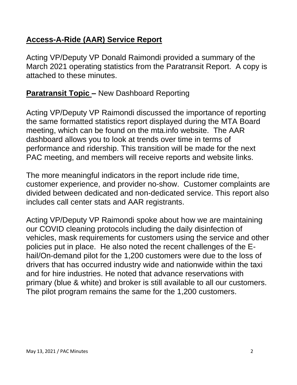## **Access-A-Ride (AAR) Service Report**

Acting VP/Deputy VP Donald Raimondi provided a summary of the March 2021 operating statistics from the Paratransit Report. A copy is attached to these minutes.

# **Paratransit Topic –** New Dashboard Reporting

Acting VP/Deputy VP Raimondi discussed the importance of reporting the same formatted statistics report displayed during the MTA Board meeting, which can be found on the mta.info website. The AAR dashboard allows you to look at trends over time in terms of performance and ridership. This transition will be made for the next PAC meeting, and members will receive reports and website links.

The more meaningful indicators in the report include ride time, customer experience, and provider no-show. Customer complaints are divided between dedicated and non-dedicated service. This report also includes call center stats and AAR registrants.

Acting VP/Deputy VP Raimondi spoke about how we are maintaining our COVID cleaning protocols including the daily disinfection of vehicles, mask requirements for customers using the service and other policies put in place. He also noted the recent challenges of the Ehail/On-demand pilot for the 1,200 customers were due to the loss of drivers that has occurred industry wide and nationwide within the taxi and for hire industries. He noted that advance reservations with primary (blue & white) and broker is still available to all our customers. The pilot program remains the same for the 1,200 customers.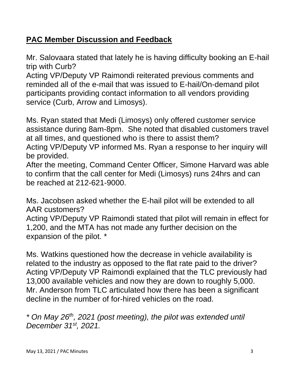# **PAC Member Discussion and Feedback**

Mr. Salovaara stated that lately he is having difficulty booking an E-hail trip with Curb?

Acting VP/Deputy VP Raimondi reiterated previous comments and reminded all of the e-mail that was issued to E-hail/On-demand pilot participants providing contact information to all vendors providing service (Curb, Arrow and Limosys).

Ms. Ryan stated that Medi (Limosys) only offered customer service assistance during 8am-8pm. She noted that disabled customers travel at all times, and questioned who is there to assist them? Acting VP/Deputy VP informed Ms. Ryan a response to her inquiry will be provided.

After the meeting, Command Center Officer, Simone Harvard was able to confirm that the call center for Medi (Limosys) runs 24hrs and can be reached at 212-621-9000.

Ms. Jacobsen asked whether the E-hail pilot will be extended to all AAR customers?

Acting VP/Deputy VP Raimondi stated that pilot will remain in effect for 1,200, and the MTA has not made any further decision on the expansion of the pilot. \*

Ms. Watkins questioned how the decrease in vehicle availability is related to the industry as opposed to the flat rate paid to the driver? Acting VP/Deputy VP Raimondi explained that the TLC previously had 13,000 available vehicles and now they are down to roughly 5,000. Mr. Anderson from TLC articulated how there has been a significant decline in the number of for-hired vehicles on the road.

*\* On May 26th , 2021 (post meeting), the pilot was extended until December 31st, 2021.*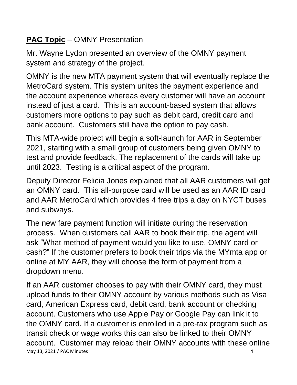# **PAC Topic** – OMNY Presentation

Mr. Wayne Lydon presented an overview of the OMNY payment system and strategy of the project.

OMNY is the new MTA payment system that will eventually replace the MetroCard system. This system unites the payment experience and the account experience whereas every customer will have an account instead of just a card. This is an account-based system that allows customers more options to pay such as debit card, credit card and bank account. Customers still have the option to pay cash.

This MTA-wide project will begin a soft-launch for AAR in September 2021, starting with a small group of customers being given OMNY to test and provide feedback. The replacement of the cards will take up until 2023. Testing is a critical aspect of the program.

Deputy Director Felicia Jones explained that all AAR customers will get an OMNY card. This all-purpose card will be used as an AAR ID card and AAR MetroCard which provides 4 free trips a day on NYCT buses and subways.

The new fare payment function will initiate during the reservation process. When customers call AAR to book their trip, the agent will ask "What method of payment would you like to use, OMNY card or cash?" If the customer prefers to book their trips via the MYmta app or online at MY AAR, they will choose the form of payment from a dropdown menu.

May 13, 2021 / PAC Minutes 4 If an AAR customer chooses to pay with their OMNY card, they must upload funds to their OMNY account by various methods such as Visa card, American Express card, debit card, bank account or checking account. Customers who use Apple Pay or Google Pay can link it to the OMNY card. If a customer is enrolled in a pre-tax program such as transit check or wage works this can also be linked to their OMNY account. Customer may reload their OMNY accounts with these online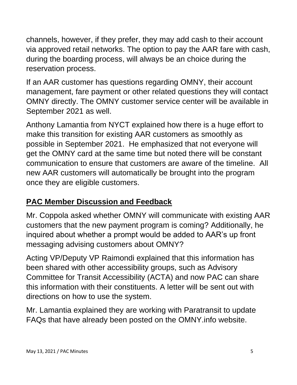channels, however, if they prefer, they may add cash to their account via approved retail networks. The option to pay the AAR fare with cash, during the boarding process, will always be an choice during the reservation process.

If an AAR customer has questions regarding OMNY, their account management, fare payment or other related questions they will contact OMNY directly. The OMNY customer service center will be available in September 2021 as well.

Anthony Lamantia from NYCT explained how there is a huge effort to make this transition for existing AAR customers as smoothly as possible in September 2021. He emphasized that not everyone will get the OMNY card at the same time but noted there will be constant communication to ensure that customers are aware of the timeline. All new AAR customers will automatically be brought into the program once they are eligible customers.

# **PAC Member Discussion and Feedback**

Mr. Coppola asked whether OMNY will communicate with existing AAR customers that the new payment program is coming? Additionally, he inquired about whether a prompt would be added to AAR's up front messaging advising customers about OMNY?

Acting VP/Deputy VP Raimondi explained that this information has been shared with other accessibility groups, such as Advisory Committee for Transit Accessibility (ACTA) and now PAC can share this information with their constituents. A letter will be sent out with directions on how to use the system.

Mr. Lamantia explained they are working with Paratransit to update FAQs that have already been posted on the OMNY.info website.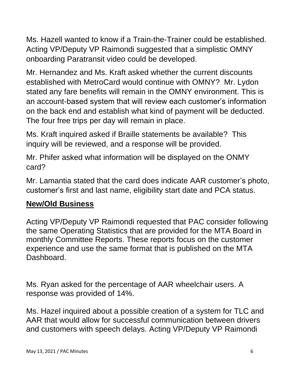Ms. Hazell wanted to know if a Train-the-Trainer could be established. Acting VP/Deputy VP Raimondi suggested that a simplistic OMNY onboarding Paratransit video could be developed.

Mr. Hernandez and Ms. Kraft asked whether the current discounts established with MetroCard would continue with OMNY? Mr. Lydon stated any fare benefits will remain in the OMNY environment. This is an account-based system that will review each customer's information on the back end and establish what kind of payment will be deducted. The four free trips per day will remain in place.

Ms. Kraft inquired asked if Braille statements be available? This inquiry will be reviewed, and a response will be provided.

Mr. Phifer asked what information will be displayed on the ONMY card?

Mr. Lamantia stated that the card does indicate AAR customer's photo, customer's first and last name, eligibility start date and PCA status.

#### **New/Old Business**

Acting VP/Deputy VP Raimondi requested that PAC consider following the same Operating Statistics that are provided for the MTA Board in monthly Committee Reports. These reports focus on the customer experience and use the same format that is published on the MTA Dashboard.

Ms. Ryan asked for the percentage of AAR wheelchair users. A response was provided of 14%.

Ms. Hazel inquired about a possible creation of a system for TLC and AAR that would allow for successful communication between drivers and customers with speech delays. Acting VP/Deputy VP Raimondi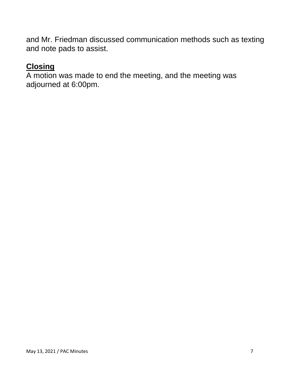and Mr. Friedman discussed communication methods such as texting and note pads to assist.

#### **Closing**

A motion was made to end the meeting, and the meeting was adjourned at 6:00pm.